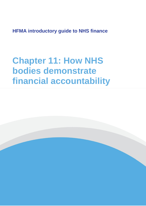**HFMA introductory guide to NHS finance**

**Chapter 11: How NHS bodies demonstrate financial accountability**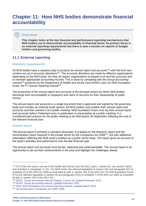# **Chapter 11: How NHS bodies demonstrate financial accountability**

## **Overview**

 $\bullet$ 

**This chapter looks at the key financial and performance reporting mechanisms that NHS bodies use to demonstrate accountability in financial terms. Its primary focus is on external reporting requirements but there is also a section on reports to budget holders and governing bodies.**

# **11.1 External reporting**

#### **Statutory requirements**

All NHS bodies have a statutory duty to produce an annual report and accounts<sup>131</sup> with the form and content set out in accounts directions<sup>132</sup>. The accounts directions are made by different organisations depending on the NHS body, but they all require organisations to prepare true and fair accounts and to maintain appropriate accounting records. This is done by complying with the *Group accounting manual<sup>133</sup>* produced by the Department of Health and Social Care (DHSC) and, for NHS foundation trusts, the *FT annual reporting manual<sup>134</sup> .*

The production of the annual report and accounts is the principal means by which NHS bodies discharge their accountability to taxpayers and users of services for their stewardship of public money.

The annual report and accounts is a single document that is approved and signed by the governing body and includes an external audit opinion. All NHS bodies must publish their annual report and accounts and then present it at a public meeting. NHS foundation trusts must lay their annual report and accounts before Parliament prior to publication or presentation at a public meeting. It is considered best practice for the public meeting to be held before 30 September following the end of the relevant financial year.

#### **Annual report**

The annual report is primarily a narrative document, it is based on the directors' report and the remuneration report required in the private sector by the *Companies Act 2006<sup>135</sup>*, but with additional information reflecting the NHS body's position as a public sector body. The report gives an account of the body's activities and performance over the last financial year.

The annual report and accounts must be fair, balanced and understandable. The annual report is an opportunity to set out their achievements in the year and highlight the challenges ahead.

<sup>131</sup> For CCGs this duty is set out in the Health and Social Care Act 2012, part 1, section 26, sub section 14Z15 and schedule 2, paragraph 17 (2). For NHS trusts, the relevant legislation is section 232 and paragraph 3(1) of schedule 15 of the NHS Act 2006 as amended by part 4, section 154 of the 2012 Act; for NHS foundation trusts (FTs) the relevant legislation is section 30 and paragraph 25(1) of schedule 7 of the NHS Act 2006 as amended by part 4, section 154 of the 2012 Act.

<sup>132</sup> DHSC, *[Group accounting manual \(chapter 2 annex 3\),](https://www.gov.uk/government/collections/department-of-health-group-accounting-guidance)* updated February 2022

<sup>133</sup> DHSC, *[Group accounting manual](https://www.gov.uk/government/collections/department-of-health-group-accounting-guidance)*, updated February 2022

<sup>134</sup> NHS, *[NHS foundation trust annual](https://www.england.nhs.uk/publication/nhs-foundation-trust-annual-reporting-manual/#heading-1) reporting manual*, updated March 2022

<sup>135</sup> UK Government, *[Companies Act 2006,](https://www.legislation.gov.uk/ukpga/2006/46/contents)* 2006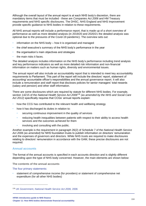Although the overall layout of the annual report is at each NHS body's discretion, there are mandatory items that must be included - these are *Companies Act 2006* and HM Treasury requirements and NHS specific disclosures. The DHSC, NHS England and NHS Improvement provide specific guidance to NHS bodies in relation to these requirements.

All NHS annual reports will include a performance report, that is made up of a short overview of performance as well as more detailed analysis (in 2019/20 and 2020/21 the detailed analysis was optional due to the pressures of the Covid-19 pandemic). The overview sets out:

- information on the NHS body how it is organised and managed
- the chief executive's summary of the NHS body's performance in the year
- the organisation's main objectives and strategies
- the main risks it faces.

The detailed analysis includes information on the NHS body's performance including trend analysis and key performance indicators as well as more detailed risk information and non-financial information on matters such as human rights, diversity and environmental issues.

The annual report will also include an accountability report that is intended to meet key accountability requirements to Parliament. This part of the report will include the directors' report, statement of accounting/ accountable officer's responsibilities and the annual governance report. It will also include a remuneration and staff report that discloses policies for senior managers' total rewards (salary and pension) and other staff information.

There are some disclosures which are required by statute for different NHS bodies. For example, section 14Z15 of the *National Health Service Act 2006<sup>136</sup> (as amended by the NHS and Social Care Act 2012)* specifically requires that CCGs' annual reports explain:

- how the CCG has contributed to the relevant health and wellbeing strategy
- how it has discharged its duties in relation to:
	- securing continuous improvement in the quality of services
	- reducing health inequalities between patients with respect to their ability to access health services and the outcomes achieved for them
	- involving and consulting with the public.

Another example is the requirement in paragraph 26(2) of Schedule 7 of the *National Health Service Act 2006 (as amended)* for NHS foundation trusts to publish information on directors' remuneration and the expenses of governors and directors. While NHS trusts are required to make disclosures relating to directors' remuneration in accordance with the GAM, these precise disclosures are not required.

#### **Annual accounts**

The format of the annual accounts is specified in each accounts direction and is slightly different depending upon the type of NHS body concerned. However, the main elements are shown below:

**The contents of the annual accounts** 

The four primary statements:

• statement of comprehensive income (for providers) or statement of comprehensive net expenditure (for all other NHS bodies)

**HFMA introductory guide to NHS finance Chapter 11: How NHS bodies demonstrate financial accountability** 104

<sup>136</sup> UK Government, *[National Health Service Act 2006,](https://www.legislation.gov.uk/ukpga/2006/41/contents)* 2006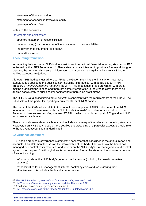- statement of financial position
- statement of changes in taxpayers' equity
- statement of cash flows.

**Notes to the accounts**

Statements and certificates:

- directors' statement of responsibilities
- the accounting (or accountable) officer's statement of responsibilities
- the governance statement (see below)
- the auditors' report.

#### **Accounting framework**

In preparing their accounts, NHS bodies must follow international financial reporting standards (IFRS) as issued by the IFRS Foundation<sup>137</sup>. These standards are intended to provide a framework for good practice, the common disclosure of information and a benchmark against which an NHS body's audited accounts are judged.

Although NHS bodies must adhere to IFRSs, the Government has the final say on how these standards are applied to the public sector (including NHS bodies) with details set out in HM Treasury's *Financial reporting manual* (FReM)<sup>138</sup>. This is because IFRSs are written with profit making organisations in mind and therefore some interpretation is required to allow them to be applied consistently to public sector bodies where there is no profit motive.

The DHSC Group accounting manual (GAM)<sup>3</sup> is consistent with the requirements of the FReM. The GAM sets out the particular reporting requirements for all NHS bodies.

The parts of the GAM which relate to the annual report apply to all NHS bodies apart from NHS foundation trusts. The requirements for NHS foundation trusts' annual reports are set out in the *Foundation trust annual reporting manual* (FT ARM)<sup>4</sup> which is published by NHS England and NHS Improvement each year.

These manuals are updated each year and include a summary of the relevant accounting standards. However, if an NHS body needs a more detailed understanding of a particular aspect, it should refer to the relevant accounting standard in full.

#### **Governance statement**

NHS bodies produce a governance statement<sup>139</sup> each year that is included in the annual report and accounts. This statement focuses on the stewardship of the body, it sets out how the board has managed and controlled its resources and reports on the NHS body's risk management and control system over the year<sup>140</sup>. Although there is no prescribed format the statement must cover a number of areas including:

- information about the NHS body's governance framework (including its board committee structure)
- responsibilities for risk management, internal control systems and for reviewing their effectiveness, this includes the board's performance

<sup>138</sup> HM Treasury, *[Financial reporting manual](https://www.gov.uk/government/collections/government-financial-reporting-manual-frem)*, updated December 2021

<sup>137</sup> The IFRS Foundation, *[International financial reporting standards,](https://www.ifrs.org/issued-standards/list-of-standards/)* 2022

<sup>139</sup> Also known as an annual governance statement

<sup>140</sup> HM Treasury, *[Managing public money \(annex 3.1\),](https://www.gov.uk/government/publications/managing-public-money)* updated March 2022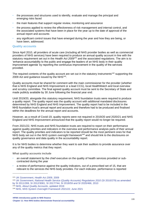- the processes and structures used to identify, evaluate and manage the principal and emerging risks faced
- the main features that support regular review, monitoring and assurance
- the process applied to review the effectiveness of risk management and internal control, and the associated systems that have been in place for the year up to the date of approval of the annual report and accounts
- any significant control issues that have emerged during the year and how they are being, or have been, addressed.

#### **Quality accounts**

Since April 2010, all providers of acute care (including all NHS provider bodies as well as commercial providers of NHS services) have been required to produce an annual quality account in line with the statutory requirement set out in the *Health Act 2009<sup>141</sup>* and the associated regulations. The aim is to 'enhance accountability to the public and engage the leaders of an NHS body in their quality improvement agenda' by reporting the continuous improvement in the quality of the services provided.

The required contents of the quality account are set out in the statutory instruments<sup>142</sup> supporting the 2009 Act and guidance issued by the NHS<sup>143</sup>.

Quality accounts must be shared for comment with the main commissioner for the provider (whether that is NHS England and NHS Improvement or a lead CCG), local HealthWatch and local overview and scrutiny committee. The final agreed quality account must be sent to the Secretary of State and made publicly available by 30 June following the financial year end.

Until 2019/20, alongside this statutory requirement, NHS foundation trusts were required to produce a quality report. The quality report was the quality account with additional mandated disclosures determined by NHS England and NHS Improvement. The quality report had to be included in the NHS foundation trust's annual report and accounts and therefore had to be produced and finalised within the deadlines for the annual report and accounts.

However, as a result of Covid-19, quality reports were not required in 2019/20 and 2020/21 and NHS England and NHS Improvement announced that the quality report would no longer be required.

From 2021/22, NHS trusts and NHS foundation trusts are required to report on their performance against quality priorities and indicators in the overview and performance analysis parts of their annual report. The quality priorities and indicators to be reported should be the most pertinent ones for that NHS body set out in the *NHS system oversight framework<sup>144</sup>* and should link to the disclosures on quality governance and data quality in the accountability report.

It is for NHS bodies to determine whether they want to ask their auditors to provide assurance over any of the quality metrics that they report.

**What quality accounts include**

- an overall statement by the chief executive on the quality of health services provided or subcontracted during the year
- a review of performance against the quality indicators, out of a prescribed set of 15, that are relevant to the services the NHS body provides. For each indicator, performance is reported

<sup>142</sup> UK Government, *[National Health Service \(Quality Accounts\) Regulations 2010](https://www.legislation.gov.uk/uksi/2010/279/contents)* (SI 2010/279) as amended by SI 2011/269*,* [SI 2012/3081, SI 2017/744, SI 2018/59 and SI 2020/466, 2010](https://www.legislation.gov.uk/uksi/2010/279/contents)

<sup>141</sup> [UK Government,](https://www.legislation.gov.uk/ukpga/2009/21/contents) *Health Act 2009,* 2009

<sup>143</sup> NHS, *[About Quality Accounts](https://www.nhs.uk/using-the-nhs/about-the-nhs/quality-accounts/about-quality-accounts/)*, updated 2019

<sup>144</sup> NHS, *NHS [System Oversight Framework 2021/22,](https://www.england.nhs.uk/publication/system-oversight-framework-2021-22/)* June 2021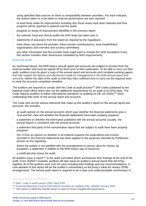using specified data sources so there is comparability between providers. For each indicator, the actions taken or to be taken to improve performance are also reported.

- at least three areas for improvement including why those areas have been selected and how progress will be reported to patients and the public
- progress on areas of improvement identified in the previous report
- the national, local and clinical audits the NHS body has taken part in
- statements of assurance from the board as required by the regulations
- what others say about the provider, these include commissioners, local HealthWatch organisations and overview and scrutiny committees
- any other information that the provider body might want to include (for NHS foundation trusts, this section includes other disclosures mandated by NHS Improvement).

#### **External audit**

As mentioned above, the NHS body's annual report and accounts are subject to scrutiny from the external auditor and must be signed off by them prior to their publication. To be able to carry out their audit, auditors must be given a copy of the annual report and accounts and complete working papers that fully support the figures and disclosures made by management in the draft annual report and accounts, before the start of the audit so that they have sufficient time to carry out the required work to meet the accounts completion deadline.

The auditors are required to comply with the *Code of audit practice<sup>145</sup>* (the Code) published by the National Audit Office which sets out the additional requirements for an audit of an NHS body. The Code requires auditors to follow *International standards on auditing for the UK (ISAs)<sup>146</sup>* when undertaking their work on the annual report and accounts.

The Code sets out the various elements that make up the auditor's report on the annual report and accounts, this includes:

- an audit opinion on the annual accounts which says whether the financial statements give a 'true and fair' view and whether the financial statements have been properly prepared
- a statement on whether the information published with the annual accounts (usually, the annual report) is consistent with the annual accounts
- a statement that parts of the remuneration report that are subject to audit have been properly prepared
- (for CCGs) an opinion on whether in all material respects the expenditure and income recorded in the financial statements has been applied to the purposes intended by Parliament (known as the regularity)
- where the auditor is not satisfied with the arrangements to secure value for money, by exception, a statement in relation to the NHS body's use of resources
- a certificate that closes the audit.

All auditors issue a report<sup>147</sup> to the audit committee which summarises their findings at the end of the audit. From 2020/21 onwards, auditors will also issue an auditor's annual report that will bring together all of the auditors work over the year including their findings and any recommendations. A core element of this report will be the auditor's commentary on the body's value for money (VFM) arrangements. The annual audit report is required to be a clear and understandable commentary of

<sup>145</sup> NAO, *[Code of audit practice 2020](https://www.nao.org.uk/code-audit-practice/wp-content/uploads/sites/29/2020/01/Code_of_audit_practice_2020.pdf)*, April 2020

<sup>146</sup> Financial Reporting Council, *[International standard on auditing \(UK\),](https://www.frc.org.uk/getattachment/0b1f9783-42a8-44f5-ae4b-d4fcd4b538db/ISA-(UK)-700_Revised-November-2019_Updated-January-2020_final-With-Covers.pdf)* updated January 2020

<sup>&</sup>lt;sup>147</sup> This report is called the ISA260 report or report to those charged with governance.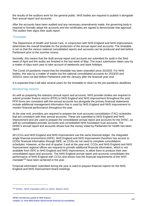the results of the auditors work for the general public. NHS bodies are required to publish it alongside their annual report and accounts.

After the accounts have been audited and any necessary amendments made, the governing body is required to formally adopt the accounts and the certificates are signed to demonstrate that approval. The auditor then signs their audit report.

#### **Timetable**

The Department of Health and Social Care, in conjunction with NHS England and NHS Improvement, determines the overall timetable for the production of the annual report and accounts. The timetable is set so that the various national consolidated reports and accounts can be produced and laid before Parliament prior to the summer recess.

Normally, this means that the draft annual report and accounts are submitted for audit in the third week of April and the audits are finished in the last week of May. The exact submission dates vary by a matter of days each year to take account of weekends and bank holidays.

The Covid-19 pandemic meant that the timetable has been extended since 2019/20. For NHS bodies, this was by a matter of weeks but the national consolidated accounts for 2019/20 and 2020/21 were not laid before Parliament until the January after the financial year-end.

It is expected that it will take several years for the timetable to return to the pre-pandemic deadlines.

#### **Monitoring reports**

As well as preparing the statutory annual report and accounts, NHS provider bodies are required to submit provider finance returns (PFR) to NHS England and NHS Improvement throughout the year. PFR forms are consistent with the annual accounts but alongside the primary financial statements include additional management information that is used by NHS England and NHS Improvement to monitor financial performance throughout the year.

At the year end, providers are required to prepare the trust accounts consolidation (TAC) schedules that are consistent with their annual accounts. These are submitted to NHS England and NHS Improvement and are used to prepare the consolidated annual report and accounts for the DHSC, as well as consolidated provider accounts and consolidated NHS foundation trust accounts. The DHSC's annual report and accounts shows how the money voted by Parliament for health has been spent.

All CCGs and NHS England and NHS Improvement use the same financial ledger, the integrated single financial environment (ISFE). NHS England and NHS Improvement therefore has access to CCGs' financial information through ISFE, so CCGs do not need to complete consolidation schedules. However, at the end of quarter 3 and at the year-end, CCGs and NHS England and NHS Improvement regional offices are required to provide additional financial information, which is not available from ISFE to NHS England and NHS Improvement, to allow them to produce their own consolidated report and accounts. The NHS England annual report and accounts consolidates the performance of NHS England with CCGs and shows how the financial requirements of the *NHS mandate <sup>148</sup>* have been achieved in the year.

Financial information submitted during the year is used to prepare financial reports for the NHS England and NHS Improvement board meetings.

<sup>148</sup> DHSC, *[NHS mandate 2021 to 2022,](https://www.gov.uk/government/publications/nhs-mandate-2021-to-2022)* March 2021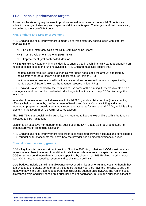## **11.2 Financial performance targets**

As well as the statutory requirement to produce annual reports and accounts, NHS bodies are subject to a range of statutory and departmental financial targets. The targets and their nature vary according to the type of NHS body.

#### **NHS England and NHS Improvement**

NHS England and NHS Improvement is made up of three statutory bodies, each with different financial duties:

- NHS England (statutorily called the NHS Commissioning Board)
- NHS Trust Development Authority (NHS TDA)
- NHS Improvement (statutorily called Monitor).

NHS England's key statutory financial duty is to ensure that in each financial year total spending on health does not exceed the funding available. NHS England must also ensure that:

- the total capital resource used in a financial year does not exceed the amount specified by the Secretary of State (known as the capital resource limit or CRL)
- the total revenue resource used in a financial year does not exceed the amount specified by the Secretary of State (known as the revenue resource limit or RRL).

NHS England is also enabled by the 2012 Act to use some of the funding it receives to establish a contingency fund that can be used to help discharge its functions or to help CCGs discharge their functions.

In relation to revenue and capital resource limits, NHS England's chief executive (the accounting officer) is held to account by the Department of Health and Social Care. NHS England is also required to prepare a consolidated annual report and accounts for itself and all CCGs, which is a key element in the Department's overall resource account.

The NHS TDA is a special health authority. It is required to keep its expenditure within the funding allocated to it by Parliament.

Monitor is an executive non-departmental public body (ENDP), that is also required to keep its expenditure within its funding allocation.

NHS England and NHS Improvement also prepare consolidated provider accounts and consolidated NHS foundation trust accounts that show how the provider bodies meet their financial duties.

#### **Clinical commissioning groups**

CCGs' key financial duty as set out in section 27 of the 2012 Act, is that each CCG must not spend more in a year than it receives. In addition, in relation to both revenue and capital resources, each CCG must not spend more than an amount specified by direction of NHS England. In other words, each CCG must not exceed its revenue and capital resource limits.

CCG budgets include a maximum allowance to cover administration or running costs. Although they can choose to undertake some or all of these roles themselves, they have the flexibility to use the money to buy in the services needed from commissioning support units (CSUs). The running cost allowances were originally based on a price per head of population, in 2016 the published allocation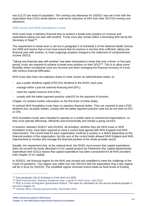was £22.07 per head of population. The running cost allowance for 2020/21 was set in line with the expectation that CCGs would deliver a real terms reduction of 20% from their 2017/18 running cost allowance.

#### **NHS trusts and NHS foundation trusts**

NHS trusts have a statutory financial duty to achieve a break-even position on revenue and expenditure taking one year with another. Trusts must also remain within a borrowing limit set by the Secretary of State<sup>149</sup>.

The requirement to break-even is set out in paragraph 2 of Schedule 5 of the *National Health Service Act 2006* and means that a trust must ensure that its revenue is not less than sufficient, taking one financial year with another, to meet outgoings properly charged to the statement of comprehensive income (SOCI).

'Taking one financial year with another' has been interpreted to mean that over a three- or five-year period, trusts are required to achieve a break-even position on their SOCI<sup>150</sup>. This is to allow some flexibility where exceptional costs are incurred and when managing the financial recovery of a trust with serious financial difficulties.

NHS trusts also have non-statutory duties to meet, known as administrative duties, to:

- pay a public dividend capital (PDC)151 dividend to the DHSC each year
- manage within a pre-set external financing limit (EFL)
- meet the capital resource limit (CRL)
- comply with the better payment practice code152 for the payment of invoices.

Chapter 15 contains further information on the first three of these duties.

In contrast NHS foundation trusts have no statutory financial duties. They are required to pay a PDC dividend and, as public bodies, comply with the better payment practice code but do not have an EFL or CRL.

NHS foundation trusts were intended to operate on a similar basis to commercial organisations, so they must operate effectively, efficiently and economically and remain a going concern.

In practice, between 2016/17 and 2019/20, all providers, whether they are NHS trusts or NHS foundation trusts, have been required to meet a control total agreed with NHS England and NHS Improvement. The control total for each organisation could be a surplus or a deficit depending on the financial position of the organisation, but the sum of the control totals allowed NHS England and NHS Improvement to monitor and manage the financial position of the whole provider sector.

Equally, the requirement that, at the national level, the DHSC must ensure that capital expenditure does not exceed the funds allocated to it for capital projects by Parliament (the capital departmental expenditure limit (CDL)) means that capital expenditure has been constrained for all NHS providers (see chapter 15 on capital).

In 2020/21, the financial regime for the NHS was revised and simplified to meet the challenge of the Covid-19 pandemic. This regime was rolled over into 2021/22 with the expectation that a new regime will be in force for 2022/23. The simplified regime removed control totals as fixed levels of funding

<sup>149</sup> See paragraph 1(6) of Schedule 5 of the *NHS Act 2006.*

<sup>150</sup> NHS Improvement, *[Statutory breakeven duty: a guide for NHS trusts](https://www.england.nhs.uk/financial-accounting-and-reporting/breakeven-duty-guide-nhs-trusts/)*, April 2018

<sup>151</sup> PDC is a form of long-term government finance. The basis for calculation for the annual dividend payable is set out in chapter 15.

<sup>152</sup> Cabinet Office, *[Prompt payment policy,](https://www.gov.uk/guidance/prompt-payment-policy)* November 2018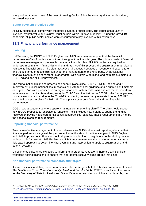was provided to meet most of the cost of treating Covid-19 but the statutory duties, as described, remained in place.

#### **Better payment practice code**

All NHS bodies must comply with the better payment practice code. The target is that 95% of invoices, by both value and volume, must be paid within 30 days of receipt. During the Covid-19 pandemic, all public sector bodies were encouraged to pay invoices within seven days.

## **11.3 Financial performance management**

#### **Planning**

HM Treasury, the DHSC and NHS England and NHS Improvement require that the financial performance of NHS bodies is monitored throughout the financial year. The primary basis of financial performance management process is the annual financial plan. All NHS bodies are required to undertake medium term financial planning and, as part of this process, the organisation must plan to achieve its financial duties. The plan must cover all expected sources of revenue and expenditure and the full range of responsibilities under the management of the NHS body. Organisational financial plans must be consistent (in aggregate) with system wide plans, and both are submitted to NHS England and NHS Improvement.

The formal national planning process has been in place since 2016/17 – NHS England and NHS Improvement publish national assumptions along with technical guidance and a submission timetable each year. Plans are produced on an organisation and system wide basis and are for the short-term (one year) and medium term (five-years). In 2019/20 and the first part of 2020/21, the formal planning process was suspended due to the Covid-19 pandemic, but was partly reinstated during 2021/22, with a full process in place for 2022/23. These plans cover both financial and non-financial performance.

CCGs have a statutory duty to prepare an annual commissioning plan<sup>153</sup>. The plan should set out how a CCG proposes to 'exercise its functions' – this includes how it plans to spend the funding received on buying healthcare for its constituent practices' patients. These requirements are met by the national planning requirements.

#### **Reporting financial performance**

To ensure effective management of financial resources NHS bodies must report regularly on their financial performance against the plan submitted at the start of the financial year to NHS England and NHS Improvement. Financial monitoring returns submitted to regulatory bodies during the year underpin this framework. NHS England and NHS Improvement use the monitoring returns to take risk-based approach to determine what oversight and intervention to apply to organisations, and, latterly, systems.

Chief finance officers are expected to inform the appropriate regulator if there are any significant variances against plans and to ensure that appropriate recovery plans are put into place.

#### **Non-financial performance standards and targets**

As well as financial duties, there are a number of other targets that NHS bodies are required to meet. The *Health and Social Care (Community Health and Standards) Act 2003<sup>154</sup>* established the power for the Secretary of State for Health and Social Care to set standards which are published by the

<sup>153</sup> Section 14Z11 of the *NHS Act 2006* as inserted by s26 of the *Health and Social Care Act 2012.*

<sup>154</sup> UK Government, *[Health and Social Care \(Community Health and Standards\) Act 2003](https://www.legislation.gov.uk/ukpga/2003/43/contents)*, 2003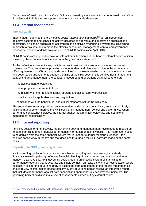Department of Health and Social Care. Guidance issued by the National Institute for Health and Care Excellence (NICE) is also an important element of the standards system.

## **11.4 Internal assessment**

#### **Internal audit**

Internal audit is defined in the *UK public sector internal audit standards<sup>155</sup>* as 'an independent, objective assurance and consulting activity designed to add value and improve an organisation's operations. It helps an organisation accomplish its objectives by bringing a systematic, disciplined approach to evaluate and improve the effectiveness of risk management, control and governance processes'. These standards have applied to all NHS bodies since April 2013.

All NHS bodies are required to have an internal audit function and the head of internal audit's opinion is used by the accountable officer to inform the governance statement.

As the definition above indicates, the internal audit service fulfils two functions – assurance and consultancy. The first involves providing an independent and objective opinion to the accountable officer, governing body/ board and audit committee on the extent to which risk management, control and governance arrangements support the aims of the NHS body. In this context, risk management, control and governance mean the policies, procedures and operations established to ensure:

- the achievement of objectives
- the appropriate assessment of risk
- the reliability of internal and external reporting and accountability processes
- compliance with applicable laws and regulations
- compliance with the behavioural and ethical standards set for the NHS body.

The second role involves providing an independent and objective consultancy service specifically to help line management improve the NHS body's risk management, control and governance. When performing consultancy services, the internal auditor must maintain objectivity and not take on management responsibility.

## **11.5 Internal reporting**

For NHS bodies to run effectively, the governing body and managers at all levels need to receive up to date financial and non-financial performance information on a timely basis. This information needs to be derived from the same financial system that is used for external reporting purposes – this ensures consistency in reports and that decisions throughout the NHS body are made on the same basis.

#### **Reporting to NHS governing bodies**

NHS governing bodies or boards are responsible for ensuring that there are high standards of financial stewardship through effective financial planning, financial control and ensuring value for money. To achieve this, NHS governing bodies require an effective system of financial and performance reporting that is accurate and timely so that it can take early and corrective action where necessary. It is for the governing body to decide the form and content of the reports required and it should review its information needs regularly. Many governing bodies receive an integrated report that includes performance against both financial and operational key performance indicators. The governing body should also make use of assessments carried out by external bodies.

<sup>155</sup> [HM Treasury and Internal Audit Profession,](https://www.gov.uk/government/publications/public-sector-internal-audit-standards) *Public sector internal auditing standards*, 2017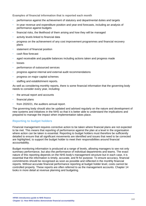**Examples of financial information that is reported each month** 

- performance against the achievement of statutory and departmental duties and targets
- in-year revenue and expenditure position and year-end forecasts, including an analysis of performance against budgets
- financial risks, the likelihood of them arising and how they will be managed
- activity levels linked to financial data
- progress on the achievement of any cost improvement programmes and financial recovery plans
- statement of financial position
- cash flow forecast
- aged receivable and payable balances including actions taken and progress made
- **losses**
- performance of outsourced services
- progress against internal and external audit recommendations
- progress on major capital schemes
- staffing and establishment reports.

As well as considering monthly reports, there is some financial information that the governing body needs to consider every year, including:

- the annual report and accounts
- financial plans
- from 2020/21, the auditors annual report.

The governing body should also be updated and advised regularly on the nature and development of new systems and initiatives in the NHS so that it is better able to understand the implications and prepared to manage the impact when implementation takes place.

### **Reporting to budget holders**

Financial management requires corrective action to be taken where financial plans are not expected to be met. This means that reporting of performance against the plan at a level in the organisation where action can be taken is essential. Reporting to budget holders must therefore be sufficiently detailed to ensure that all significant movements are identified and issues that need to be corrected are highlighted, to support the budget holder to meet their responsibilities around financial accountability.

Budget monitoring information is produced at a range of levels, allowing managers to see not only summary performance, but also the performance of individual departments and teams. The exact nature of this reporting depends on the NHS body's management structure but in each case, it is essential that the information is timely, accurate, and fit for purpose. To ensure accuracy, financial commitments should be recognised as soon as possible and reflected in the monthly financial reports. Without accurate financial performance reporting at budget holder level, costs cannot be controlled properly. These reports are often referred to as the management accounts. Chapter 14 looks in more detail at revenue planning and budgeting.